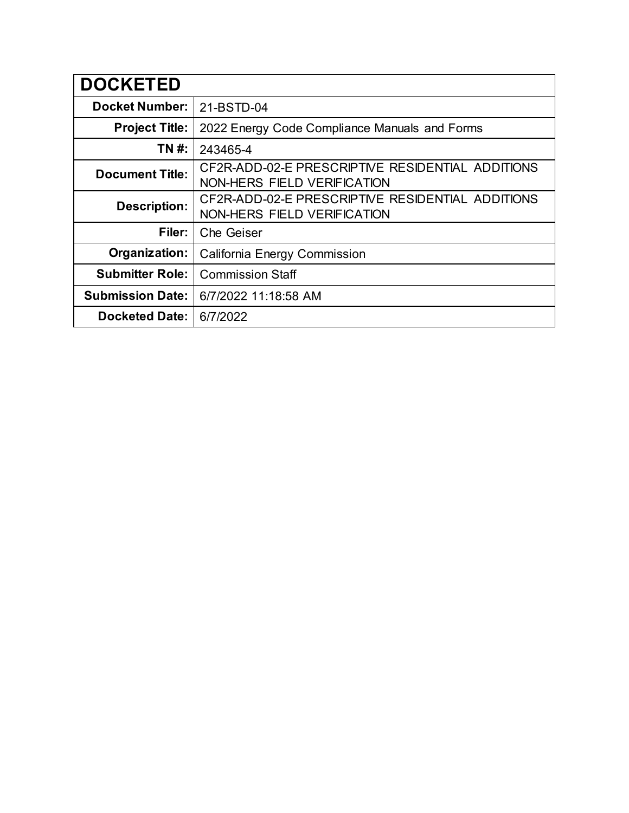| <b>DOCKETED</b>         |                                                                                 |
|-------------------------|---------------------------------------------------------------------------------|
| <b>Docket Number:</b>   | 21-BSTD-04                                                                      |
| <b>Project Title:</b>   | 2022 Energy Code Compliance Manuals and Forms                                   |
| TN #:                   | 243465-4                                                                        |
| <b>Document Title:</b>  | CF2R-ADD-02-E PRESCRIPTIVE RESIDENTIAL ADDITIONS<br>NON-HERS FIELD VERIFICATION |
| <b>Description:</b>     | CF2R-ADD-02-E PRESCRIPTIVE RESIDENTIAL ADDITIONS<br>NON-HERS FIELD VERIFICATION |
| Filer:                  | <b>Che Geiser</b>                                                               |
| Organization:           | California Energy Commission                                                    |
| <b>Submitter Role:</b>  | <b>Commission Staff</b>                                                         |
| <b>Submission Date:</b> | 6/7/2022 11:18:58 AM                                                            |
| <b>Docketed Date:</b>   | 6/7/2022                                                                        |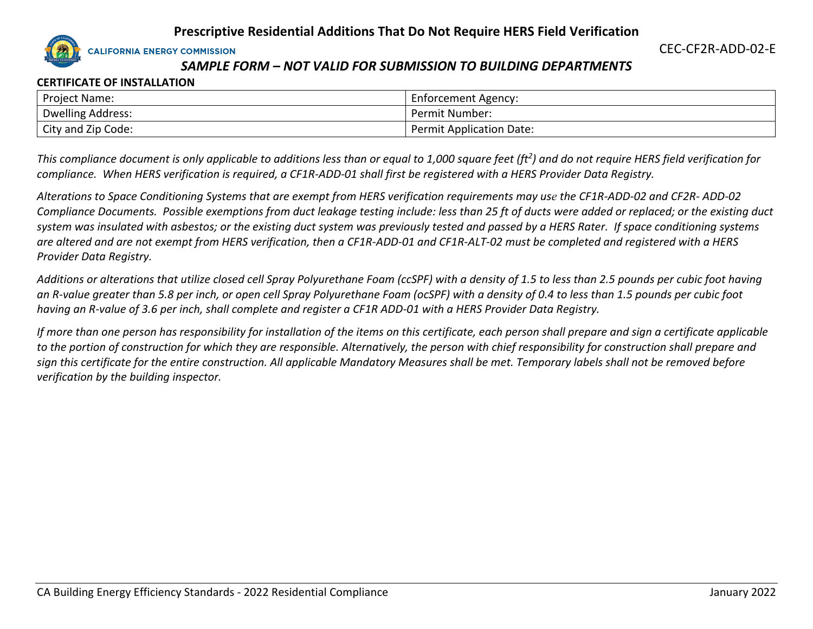**CALIFORNIA ENERGY COMMISSION** 

# *SAMPLE FORM – NOT VALID FOR SUBMISSION TO BUILDING DEPARTMENTS*

### **CERTIFICATE OF INSTALLATION**

| <b>Project Name:</b>     | Enforcement Agency:             |
|--------------------------|---------------------------------|
| <b>Dwelling Address:</b> | Permit Number:                  |
| City and Zip Code:       | <b>Permit Application Date:</b> |

*This compliance document is only applicable to additions less than or equal to 1,000 square feet (ft<sup>2</sup> ) and do not require HERS field verification for compliance. When HERS verification is required, a CF1R-ADD-01 shall first be registered with a HERS Provider Data Registry.* 

*Alterations to Space Conditioning Systems that are exempt from HERS verification requirements may use the CF1R-ADD-02 and CF2R- ADD-02 Compliance Documents. Possible exemptions from duct leakage testing include: less than 25 ft of ducts were added or replaced; or the existing duct system was insulated with asbestos; or the existing duct system was previously tested and passed by a HERS Rater. If space conditioning systems are altered and are not exempt from HERS verification, then a CF1R-ADD-01 and CF1R-ALT-02 must be completed and registered with a HERS Provider Data Registry.*

*Additions or alterations that utilize closed cell Spray Polyurethane Foam (ccSPF) with a density of 1.5 to less than 2.5 pounds per cubic foot having an R-value greater than 5.8 per inch, or open cell Spray Polyurethane Foam (ocSPF) with a density of 0.4 to less than 1.5 pounds per cubic foot having an R-value of 3.6 per inch, shall complete and register a CF1R ADD-01 with a HERS Provider Data Registry.*

*If more than one person has responsibility for installation of the items on this certificate, each person shall prepare and sign a certificate applicable to the portion of construction for which they are responsible. Alternatively, the person with chief responsibility for construction shall prepare and sign this certificate for the entire construction. All applicable Mandatory Measures shall be met. Temporary labels shall not be removed before verification by the building inspector.*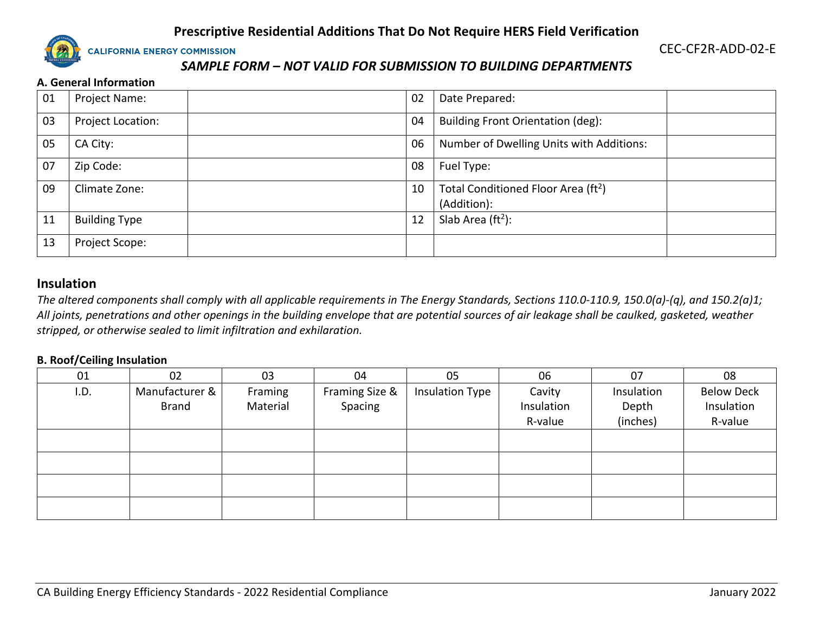

CEC-CF2R-ADD-02-E

# *SAMPLE FORM – NOT VALID FOR SUBMISSION TO BUILDING DEPARTMENTS*

#### **A. General Information**

| 01 | Project Name:        | 02 | Date Prepared:                                                 |
|----|----------------------|----|----------------------------------------------------------------|
| 03 | Project Location:    | 04 | Building Front Orientation (deg):                              |
| 05 | CA City:             | 06 | Number of Dwelling Units with Additions:                       |
| 07 | Zip Code:            | 08 | Fuel Type:                                                     |
| 09 | Climate Zone:        | 10 | Total Conditioned Floor Area (ft <sup>2</sup> )<br>(Addition): |
| 11 | <b>Building Type</b> | 12 | Slab Area $(ft2)$ :                                            |
| 13 | Project Scope:       |    |                                                                |

### **Insulation**

*The altered components shall comply with all applicable requirements in The Energy Standards, Sections 110.0-110.9, 150.0(a)-(q), and 150.2(a)1; All joints, penetrations and other openings in the building envelope that are potential sources of air leakage shall be caulked, gasketed, weather stripped, or otherwise sealed to limit infiltration and exhilaration.*

#### **B. Roof/Ceiling Insulation**

| 01   | 02             | 03       | 04             | 05                     | 06         | 07         | 08                |
|------|----------------|----------|----------------|------------------------|------------|------------|-------------------|
| I.D. | Manufacturer & | Framing  | Framing Size & | <b>Insulation Type</b> | Cavity     | Insulation | <b>Below Deck</b> |
|      | <b>Brand</b>   | Material | Spacing        |                        | Insulation | Depth      | Insulation        |
|      |                |          |                |                        | R-value    | (inches)   | R-value           |
|      |                |          |                |                        |            |            |                   |
|      |                |          |                |                        |            |            |                   |
|      |                |          |                |                        |            |            |                   |
|      |                |          |                |                        |            |            |                   |
|      |                |          |                |                        |            |            |                   |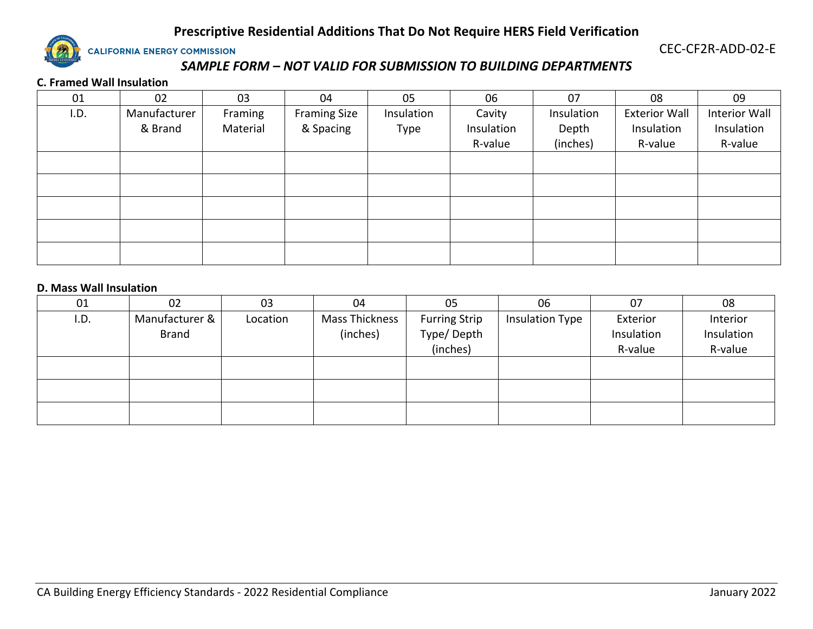

CEC-CF2R-ADD-02-E

# *SAMPLE FORM – NOT VALID FOR SUBMISSION TO BUILDING DEPARTMENTS*

#### **C. Framed Wall Insulation**

| 01   | 02           | 03       | 04                  | 05         | 06         | 07         | 08                   | 09            |
|------|--------------|----------|---------------------|------------|------------|------------|----------------------|---------------|
| I.D. | Manufacturer | Framing  | <b>Framing Size</b> | Insulation | Cavity     | Insulation | <b>Exterior Wall</b> | Interior Wall |
|      | & Brand      | Material | & Spacing           | Type       | Insulation | Depth      | Insulation           | Insulation    |
|      |              |          |                     |            | R-value    | (inches)   | R-value              | R-value       |
|      |              |          |                     |            |            |            |                      |               |
|      |              |          |                     |            |            |            |                      |               |
|      |              |          |                     |            |            |            |                      |               |
|      |              |          |                     |            |            |            |                      |               |
|      |              |          |                     |            |            |            |                      |               |
|      |              |          |                     |            |            |            |                      |               |

#### **D. Mass Wall Insulation**

| 01   | 02             | 03       | 04             | 05                   | 06                     | 07         | 08         |
|------|----------------|----------|----------------|----------------------|------------------------|------------|------------|
| I.D. | Manufacturer & | Location | Mass Thickness | <b>Furring Strip</b> | <b>Insulation Type</b> | Exterior   | Interior   |
|      | <b>Brand</b>   |          | (inches)       | Type/Depth           |                        | Insulation | Insulation |
|      |                |          |                | (inches)             |                        | R-value    | R-value    |
|      |                |          |                |                      |                        |            |            |
|      |                |          |                |                      |                        |            |            |
|      |                |          |                |                      |                        |            |            |
|      |                |          |                |                      |                        |            |            |
|      |                |          |                |                      |                        |            |            |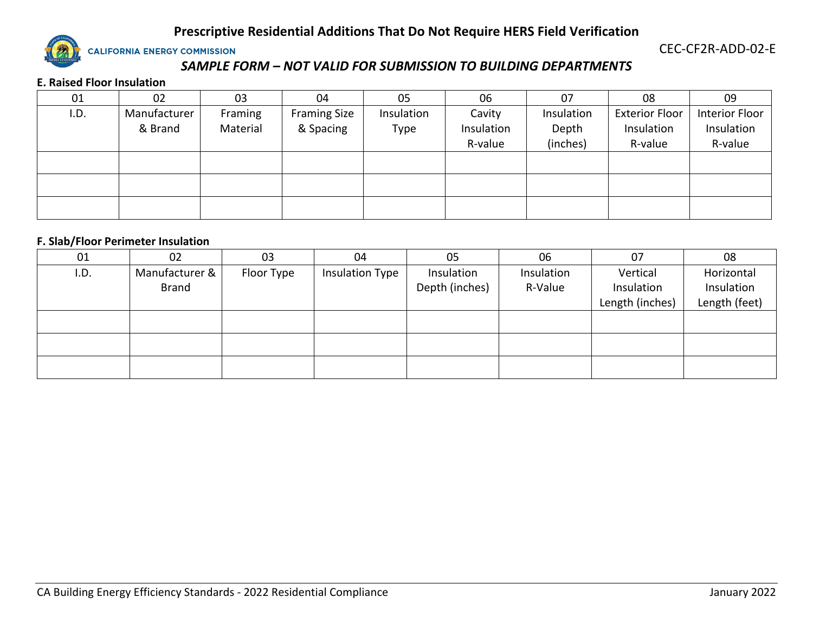

CEC-CF2R-ADD-02-E

# *SAMPLE FORM – NOT VALID FOR SUBMISSION TO BUILDING DEPARTMENTS*

#### **E. Raised Floor Insulation**

| 01   | 02           | 03       | 04                  | 05         | 06         | 07         | 08                    | 09             |
|------|--------------|----------|---------------------|------------|------------|------------|-----------------------|----------------|
| I.D. | Manufacturer | Framing  | <b>Framing Size</b> | Insulation | Cavity     | Insulation | <b>Exterior Floor</b> | Interior Floor |
|      | & Brand      | Material | & Spacing           | Type       | Insulation | Depth      | Insulation            | Insulation     |
|      |              |          |                     |            | R-value    | (inches)   | R-value               | R-value        |
|      |              |          |                     |            |            |            |                       |                |
|      |              |          |                     |            |            |            |                       |                |
|      |              |          |                     |            |            |            |                       |                |
|      |              |          |                     |            |            |            |                       |                |
|      |              |          |                     |            |            |            |                       |                |

#### **F. Slab/Floor Perimeter Insulation**

| 01   | 02             | 03         | 04              | 05             | 06         | 07              | 08            |
|------|----------------|------------|-----------------|----------------|------------|-----------------|---------------|
| I.D. | Manufacturer & | Floor Type | Insulation Type | Insulation     | Insulation | Vertical        | Horizontal    |
|      | <b>Brand</b>   |            |                 | Depth (inches) | R-Value    | Insulation      | Insulation    |
|      |                |            |                 |                |            | Length (inches) | Length (feet) |
|      |                |            |                 |                |            |                 |               |
|      |                |            |                 |                |            |                 |               |
|      |                |            |                 |                |            |                 |               |
|      |                |            |                 |                |            |                 |               |
|      |                |            |                 |                |            |                 |               |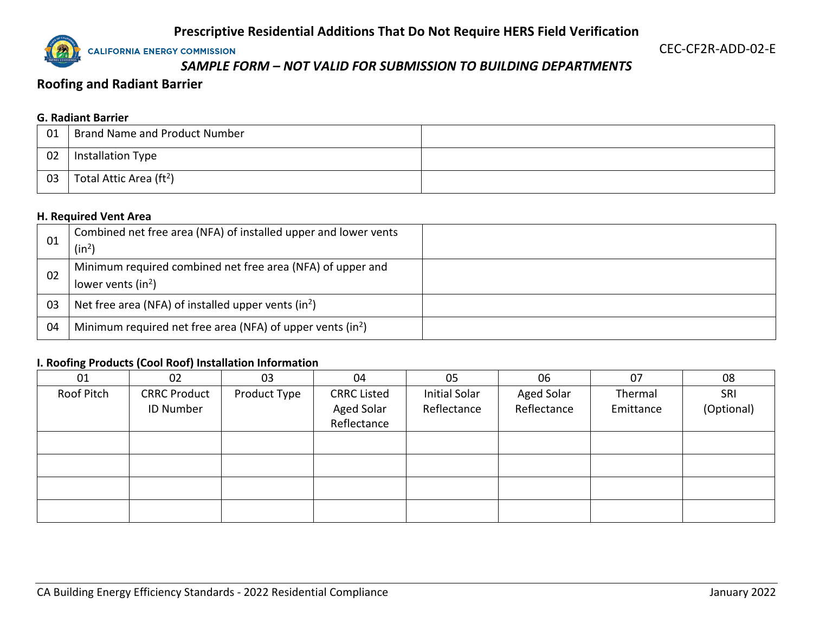**CALIFORNIA ENERGY COMMISSION** 

CEC-CF2R-ADD-02-E

# *SAMPLE FORM – NOT VALID FOR SUBMISSION TO BUILDING DEPARTMENTS*

# **Roofing and Radiant Barrier**

## **G. Radiant Barrier**

| 01 | <b>Brand Name and Product Number</b> |  |
|----|--------------------------------------|--|
| 02 | <b>Installation Type</b>             |  |
| 03 | Total Attic Area (ft <sup>2</sup> )  |  |

#### **H. Required Vent Area**

| 01 | Combined net free area (NFA) of installed upper and lower vents<br>(in <sup>2</sup> ) |
|----|---------------------------------------------------------------------------------------|
| 02 | Minimum required combined net free area (NFA) of upper and<br>lower vents $(in^2)$    |
| 03 | Net free area (NFA) of installed upper vents (in <sup>2</sup> )                       |
| 04 | Minimum required net free area (NFA) of upper vents $(in^2)$                          |

#### **I. Roofing Products (Cool Roof) Installation Information**

| 01         | 02                  | 03           | 04                 | 05            | 06                | 07        | 08         |
|------------|---------------------|--------------|--------------------|---------------|-------------------|-----------|------------|
| Roof Pitch | <b>CRRC Product</b> | Product Type | <b>CRRC Listed</b> | Initial Solar | <b>Aged Solar</b> | Thermal   | SRI        |
|            | <b>ID Number</b>    |              | <b>Aged Solar</b>  | Reflectance   | Reflectance       | Emittance | (Optional) |
|            |                     |              | Reflectance        |               |                   |           |            |
|            |                     |              |                    |               |                   |           |            |
|            |                     |              |                    |               |                   |           |            |
|            |                     |              |                    |               |                   |           |            |
|            |                     |              |                    |               |                   |           |            |
|            |                     |              |                    |               |                   |           |            |
|            |                     |              |                    |               |                   |           |            |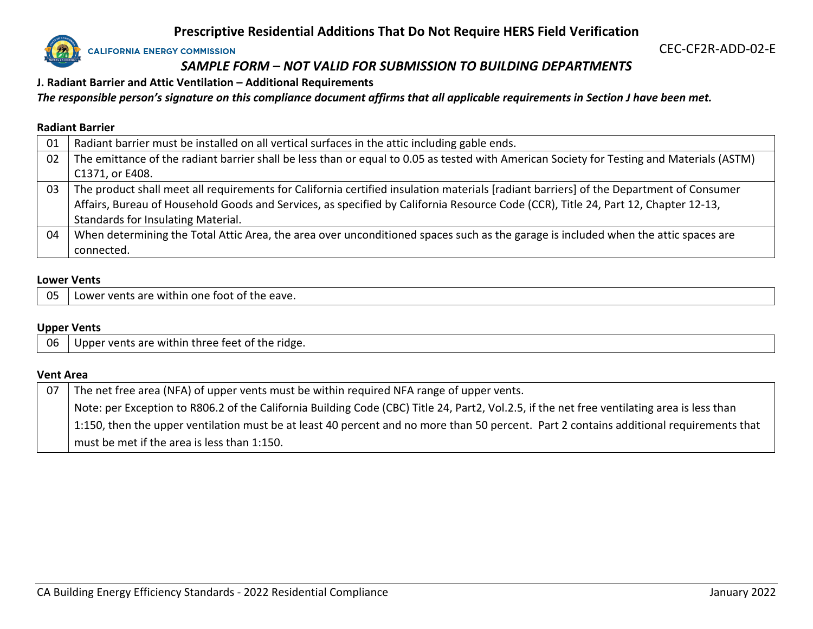

CEC-CF2R-ADD-02-E

# *SAMPLE FORM – NOT VALID FOR SUBMISSION TO BUILDING DEPARTMENTS*

**J. Radiant Barrier and Attic Ventilation – Additional Requirements**

*The responsible person's signature on this compliance document affirms that all applicable requirements in Section J have been met.*

#### **Radiant Barrier**

| 01 | Radiant barrier must be installed on all vertical surfaces in the attic including gable ends.                                             |
|----|-------------------------------------------------------------------------------------------------------------------------------------------|
| 02 | The emittance of the radiant barrier shall be less than or equal to 0.05 as tested with American Society for Testing and Materials (ASTM) |
|    | C1371, or E408.                                                                                                                           |
| 03 | The product shall meet all requirements for California certified insulation materials [radiant barriers] of the Department of Consumer    |
|    | Affairs, Bureau of Household Goods and Services, as specified by California Resource Code (CCR), Title 24, Part 12, Chapter 12-13,        |
|    | Standards for Insulating Material.                                                                                                        |
| 04 | When determining the Total Attic Area, the area over unconditioned spaces such as the garage is included when the attic spaces are        |
|    | connected.                                                                                                                                |

#### **Lower Vents**

05 Lower vents are within one foot of the eave.

#### **Upper Vents**

06 Upper vents are within three feet of the ridge.

#### **Vent Area**

| 07 | The net free area (NFA) of upper vents must be within required NFA range of upper vents.                                                    |
|----|---------------------------------------------------------------------------------------------------------------------------------------------|
|    | Note: per Exception to R806.2 of the California Building Code (CBC) Title 24, Part2, Vol.2.5, if the net free ventilating area is less than |
|    | 1:150, then the upper ventilation must be at least 40 percent and no more than 50 percent. Part 2 contains additional requirements that     |
|    | must be met if the area is less than 1:150.                                                                                                 |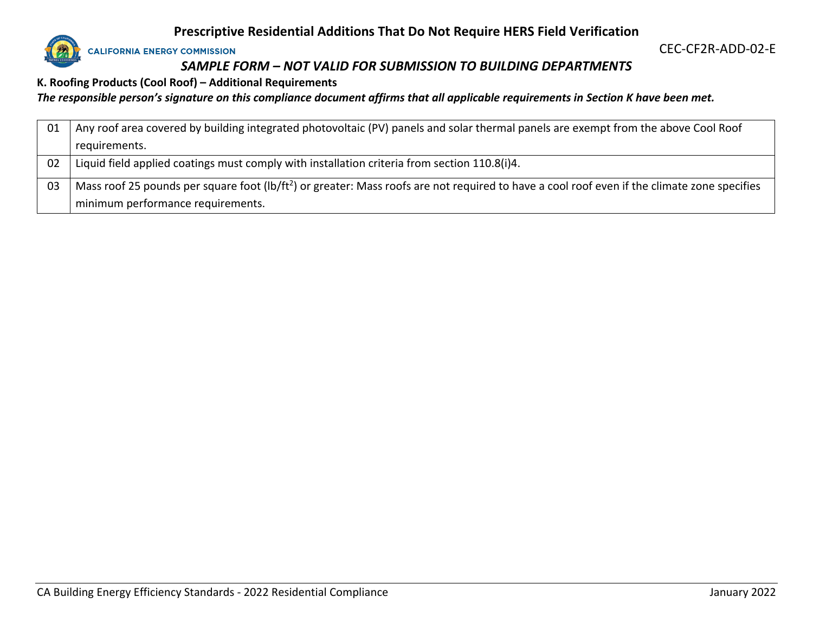

CEC-CF2R-ADD-02-E

# *SAMPLE FORM – NOT VALID FOR SUBMISSION TO BUILDING DEPARTMENTS*

**K. Roofing Products (Cool Roof) – Additional Requirements**

*The responsible person's signature on this compliance document affirms that all applicable requirements in Section K have been met.*

| 01  | Any roof area covered by building integrated photovoltaic (PV) panels and solar thermal panels are exempt from the above Cool Roof                       |
|-----|----------------------------------------------------------------------------------------------------------------------------------------------------------|
|     | requirements.                                                                                                                                            |
| -02 | Liquid field applied coatings must comply with installation criteria from section 110.8(i)4.                                                             |
| 03  | Mass roof 25 pounds per square foot (lb/ft <sup>2</sup> ) or greater: Mass roofs are not required to have a cool roof even if the climate zone specifies |
|     | minimum performance requirements.                                                                                                                        |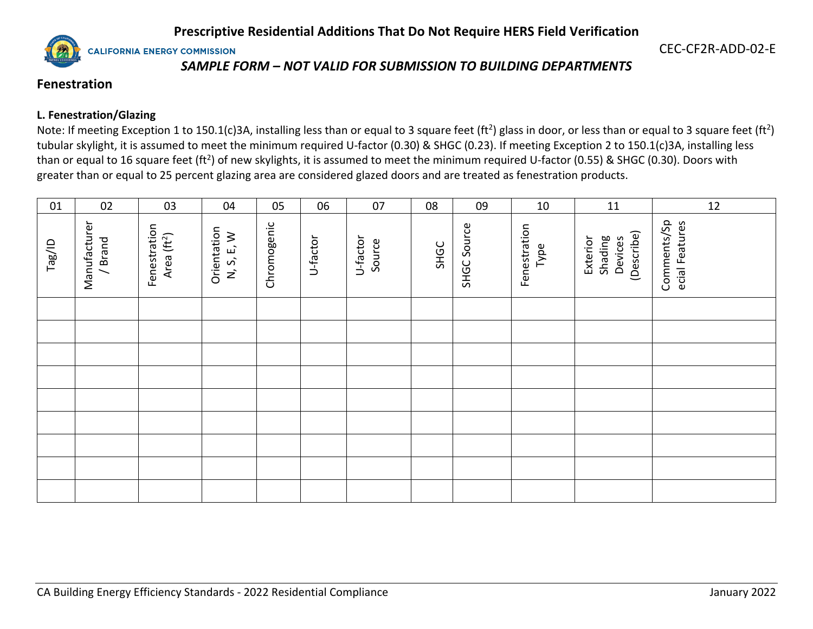**CALIFORNIA ENERGY COMMISSION** 

CEC-CF2R-ADD-02-E

# *SAMPLE FORM – NOT VALID FOR SUBMISSION TO BUILDING DEPARTMENTS*

# **Fenestration**

## **L. Fenestration/Glazing**

Note: If meeting Exception 1 to 150.1(c)3A, installing less than or equal to 3 square feet (ft<sup>2</sup>) glass in door, or less than or equal to 3 square feet (ft<sup>2</sup>) tubular skylight, it is assumed to meet the minimum required U-factor (0.30) & SHGC (0.23). If meeting Exception 2 to 150.1(c)3A, installing less than or equal to 16 square feet (ft<sup>2</sup>) of new skylights, it is assumed to meet the minimum required U-factor (0.55) & SHGC (0.30). Doors with greater than or equal to 25 percent glazing area are considered glazed doors and are treated as fenestration products.

| 01     | 02                     | 03                                      | 04                        | 05          | 06       | 07                 | 08   | 09          | 10                   | 11                                           | 12                            |
|--------|------------------------|-----------------------------------------|---------------------------|-------------|----------|--------------------|------|-------------|----------------------|----------------------------------------------|-------------------------------|
| Tag/ID | Manufacturer<br>/Brand | Fenestration<br>Area (ft <sup>2</sup> ) | Orientation<br>N, S, E, W | Chromogenic | U-factor | U-factor<br>Source | SHGC | SHGC Source | Fenestration<br>Type | (Describe)<br>Shading<br>Devices<br>Exterior | Comments/Sp<br>ecial Features |
|        |                        |                                         |                           |             |          |                    |      |             |                      |                                              |                               |
|        |                        |                                         |                           |             |          |                    |      |             |                      |                                              |                               |
|        |                        |                                         |                           |             |          |                    |      |             |                      |                                              |                               |
|        |                        |                                         |                           |             |          |                    |      |             |                      |                                              |                               |
|        |                        |                                         |                           |             |          |                    |      |             |                      |                                              |                               |
|        |                        |                                         |                           |             |          |                    |      |             |                      |                                              |                               |
|        |                        |                                         |                           |             |          |                    |      |             |                      |                                              |                               |
|        |                        |                                         |                           |             |          |                    |      |             |                      |                                              |                               |
|        |                        |                                         |                           |             |          |                    |      |             |                      |                                              |                               |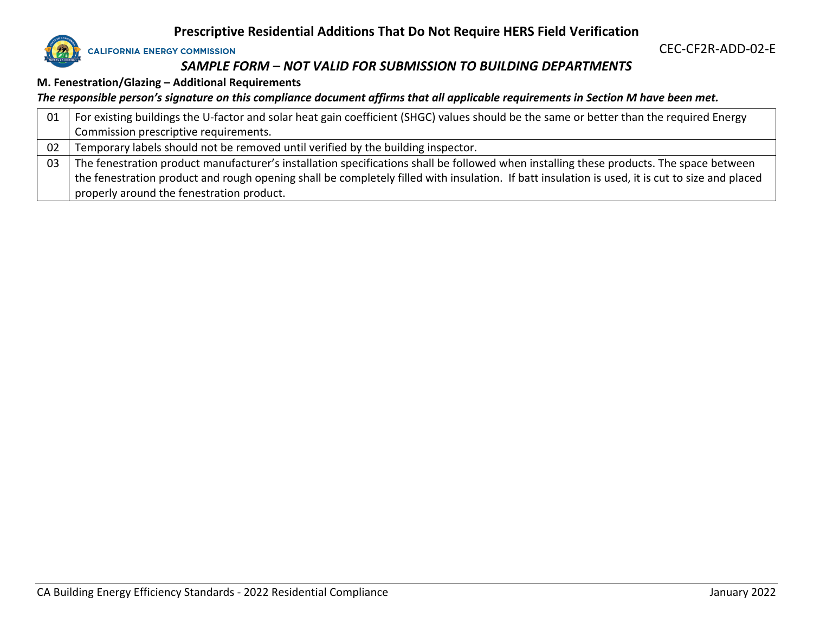

# *SAMPLE FORM – NOT VALID FOR SUBMISSION TO BUILDING DEPARTMENTS*

**M. Fenestration/Glazing – Additional Requirements**

*The responsible person's signature on this compliance document affirms that all applicable requirements in Section M have been met.*

| 01 | For existing buildings the U-factor and solar heat gain coefficient (SHGC) values should be the same or better than the required Energy         |
|----|-------------------------------------------------------------------------------------------------------------------------------------------------|
|    | Commission prescriptive requirements.                                                                                                           |
| 02 | Temporary labels should not be removed until verified by the building inspector.                                                                |
| 03 | The fenestration product manufacturer's installation specifications shall be followed when installing these products. The space between         |
|    | the fenestration product and rough opening shall be completely filled with insulation. If batt insulation is used, it is cut to size and placed |
|    | properly around the fenestration product.                                                                                                       |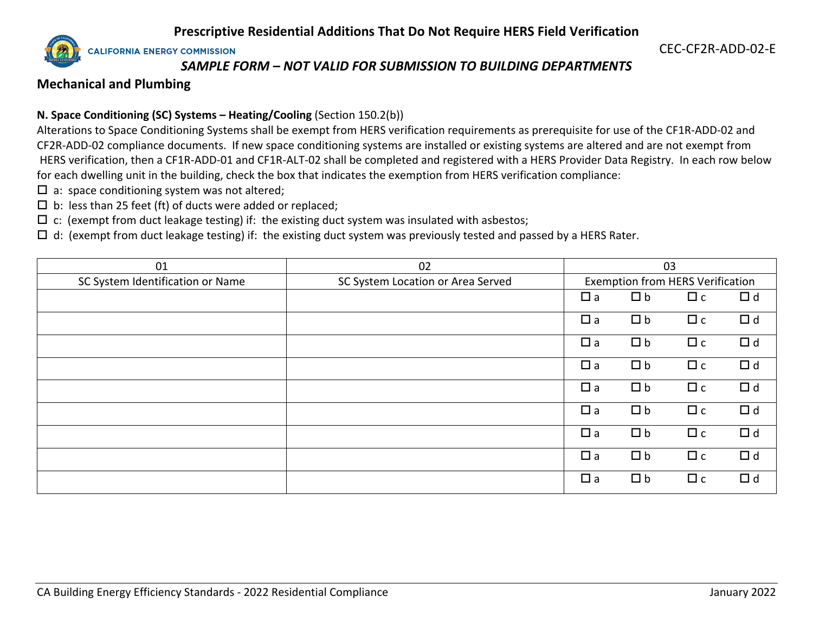**CALIFORNIA ENERGY COMMISSION** 

CEC-CF2R-ADD-02-E

## *SAMPLE FORM – NOT VALID FOR SUBMISSION TO BUILDING DEPARTMENTS*

## **Mechanical and Plumbing**

## **N. Space Conditioning (SC) Systems – Heating/Cooling** (Section 150.2(b))

Alterations to Space Conditioning Systems shall be exempt from HERS verification requirements as prerequisite for use of the CF1R-ADD-02 and CF2R-ADD-02 compliance documents. If new space conditioning systems are installed or existing systems are altered and are not exempt from HERS verification, then a CF1R-ADD-01 and CF1R-ALT-02 shall be completed and registered with a HERS Provider Data Registry. In each row below for each dwelling unit in the building, check the box that indicates the exemption from HERS verification compliance:

- $\square$  a: space conditioning system was not altered;
- $\square$  b: less than 25 feet (ft) of ducts were added or replaced;
- $\Box$  c: (exempt from duct leakage testing) if: the existing duct system was insulated with asbestos;
- $\Box$  d: (exempt from duct leakage testing) if: the existing duct system was previously tested and passed by a HERS Rater.

| 01                               | 02                                | 03          |                                         |          |          |
|----------------------------------|-----------------------------------|-------------|-----------------------------------------|----------|----------|
| SC System Identification or Name | SC System Location or Area Served |             | <b>Exemption from HERS Verification</b> |          |          |
|                                  |                                   | $\Box$ a    | $\Box$ b                                | $\Box$ c | $\Box$ d |
|                                  |                                   | $\Box$ a    | $\Box$ b                                | $\Box$ c | $\Box$ d |
|                                  |                                   | $\Box$ a    | $\Box$ b                                | $\Box$ c | $\Box$ d |
|                                  |                                   | $\square$ a | $\Box$ b                                | $\Box$ c | $\Box$ d |
|                                  |                                   | $\Box$ a    | $\Box$ b                                | $\Box$ c | $\Box$ d |
|                                  |                                   | $\Box$ a    | $\Box$ b                                | $\Box$ c | $\Box$ d |
|                                  |                                   | $\Box$ a    | $\Box$ b                                | $\Box$ c | $\Box$ d |
|                                  |                                   | $\square$ a | $\Box$ b                                | $\Box$ c | $\Box$ d |
|                                  |                                   | $\Box$ a    | $\Box$ b                                | $\Box$ c | $\Box$ d |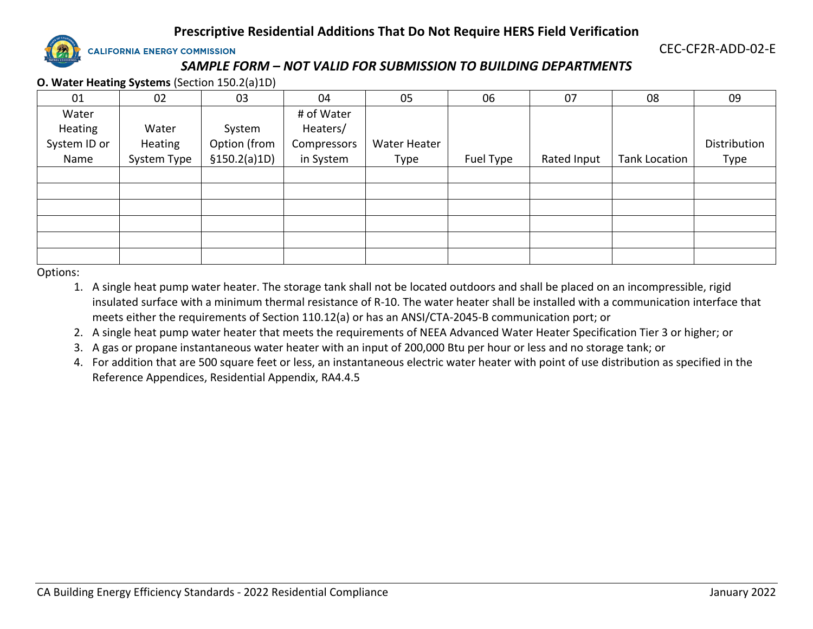

**CALIFORNIA ENERGY COMMISSION** 

CEC-CF2R-ADD-02-E

# *SAMPLE FORM – NOT VALID FOR SUBMISSION TO BUILDING DEPARTMENTS*

**O. Water Heating Systems** (Section 150.2(a)1D)

| 01           | 02          | 03            | 04          | 05           | 06        | 07          | 08                   | 09           |
|--------------|-------------|---------------|-------------|--------------|-----------|-------------|----------------------|--------------|
| Water        |             |               | # of Water  |              |           |             |                      |              |
| Heating      | Water       | System        | Heaters/    |              |           |             |                      |              |
| System ID or | Heating     | Option (from  | Compressors | Water Heater |           |             |                      | Distribution |
| Name         | System Type | \$150.2(a)1D) | in System   | Type         | Fuel Type | Rated Input | <b>Tank Location</b> | Type         |
|              |             |               |             |              |           |             |                      |              |
|              |             |               |             |              |           |             |                      |              |
|              |             |               |             |              |           |             |                      |              |
|              |             |               |             |              |           |             |                      |              |
|              |             |               |             |              |           |             |                      |              |
|              |             |               |             |              |           |             |                      |              |

Options:

- 1. A single heat pump water heater. The storage tank shall not be located outdoors and shall be placed on an incompressible, rigid insulated surface with a minimum thermal resistance of R-10. The water heater shall be installed with a communication interface that meets either the requirements of Section 110.12(a) or has an ANSI/CTA-2045-B communication port; or
- 2. A single heat pump water heater that meets the requirements of NEEA Advanced Water Heater Specification Tier 3 or higher; or
- 3. A gas or propane instantaneous water heater with an input of 200,000 Btu per hour or less and no storage tank; or
- 4. For addition that are 500 square feet or less, an instantaneous electric water heater with point of use distribution as specified in the Reference Appendices, Residential Appendix, RA4.4.5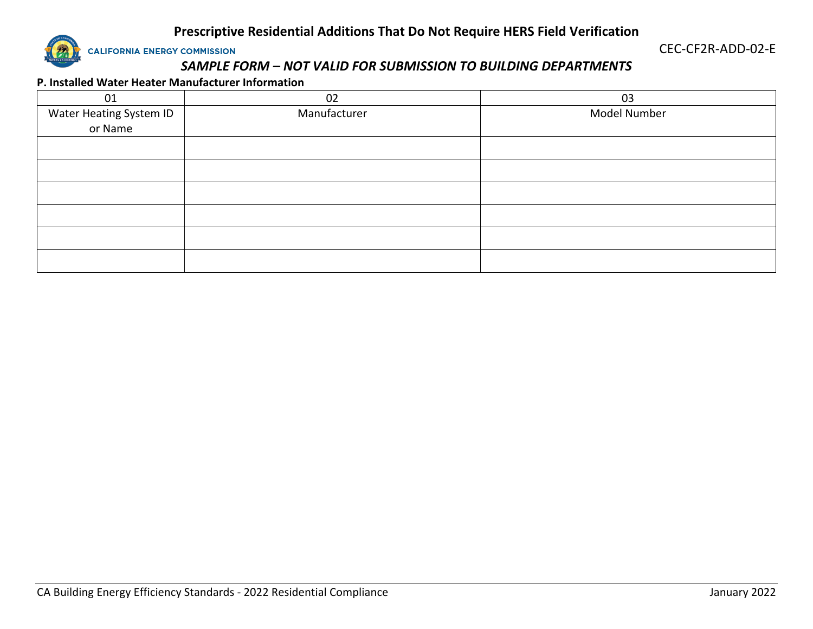

CEC-CF2R-ADD-02-E

# *SAMPLE FORM – NOT VALID FOR SUBMISSION TO BUILDING DEPARTMENTS*

#### **P. Installed Water Heater Manufacturer Information**

| 01                                 | 02           | 03           |
|------------------------------------|--------------|--------------|
| Water Heating System ID<br>or Name | Manufacturer | Model Number |
|                                    |              |              |
|                                    |              |              |
|                                    |              |              |
|                                    |              |              |
|                                    |              |              |
|                                    |              |              |
|                                    |              |              |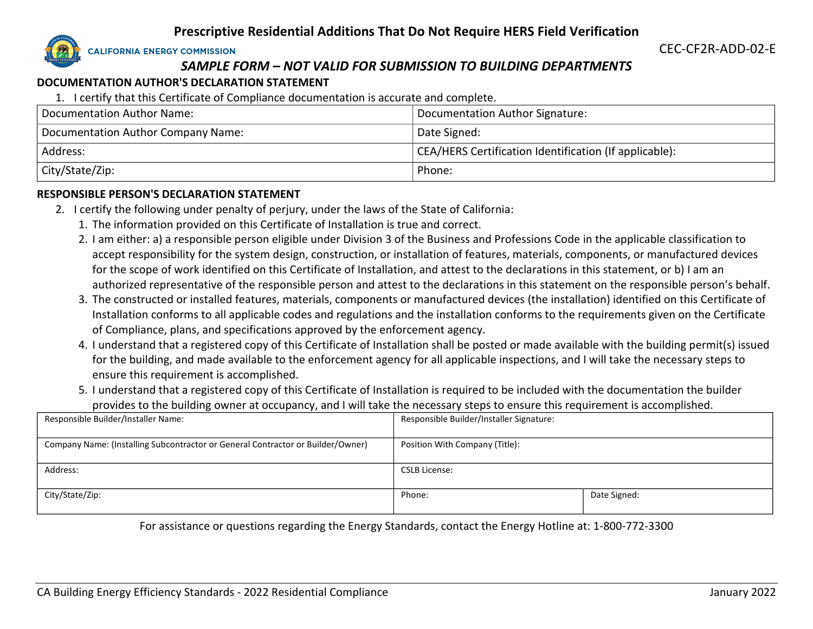**CALIFORNIA ENERGY COMMISSION** 

CEC-CF2R-ADD-02-E

# *SAMPLE FORM – NOT VALID FOR SUBMISSION TO BUILDING DEPARTMENTS*

#### **DOCUMENTATION AUTHOR'S DECLARATION STATEMENT**

1. I certify that this Certificate of Compliance documentation is accurate and complete.

| Documentation Author Name:         | Documentation Author Signature:                        |
|------------------------------------|--------------------------------------------------------|
| Documentation Author Company Name: | Date Signed:                                           |
| Address:                           | CEA/HERS Certification Identification (If applicable): |
| City/State/Zip:                    | Phone:                                                 |

#### **RESPONSIBLE PERSON'S DECLARATION STATEMENT**

- 2. I certify the following under penalty of perjury, under the laws of the State of California:
	- 1. The information provided on this Certificate of Installation is true and correct.
	- 2. I am either: a) a responsible person eligible under Division 3 of the Business and Professions Code in the applicable classification to accept responsibility for the system design, construction, or installation of features, materials, components, or manufactured devices for the scope of work identified on this Certificate of Installation, and attest to the declarations in this statement, or b) I am an authorized representative of the responsible person and attest to the declarations in this statement on the responsible person's behalf.
	- 3. The constructed or installed features, materials, components or manufactured devices (the installation) identified on this Certificate of Installation conforms to all applicable codes and regulations and the installation conforms to the requirements given on the Certificate of Compliance, plans, and specifications approved by the enforcement agency.
	- 4. I understand that a registered copy of this Certificate of Installation shall be posted or made available with the building permit(s) issued for the building, and made available to the enforcement agency for all applicable inspections, and I will take the necessary steps to ensure this requirement is accomplished.
	- 5. I understand that a registered copy of this Certificate of Installation is required to be included with the documentation the builder provides to the building owner at occupancy, and I will take the necessary steps to ensure this requirement is accomplished.

| Responsible Builder/Installer Name:                                             | Responsible Builder/Installer Signature: |              |
|---------------------------------------------------------------------------------|------------------------------------------|--------------|
|                                                                                 |                                          |              |
| Company Name: (Installing Subcontractor or General Contractor or Builder/Owner) | Position With Company (Title):           |              |
|                                                                                 |                                          |              |
| Address:                                                                        | CSLB License:                            |              |
|                                                                                 |                                          |              |
| City/State/Zip:                                                                 | Phone:                                   | Date Signed: |
|                                                                                 |                                          |              |

For assistance or questions regarding the Energy Standards, contact the Energy Hotline at: 1-800-772-3300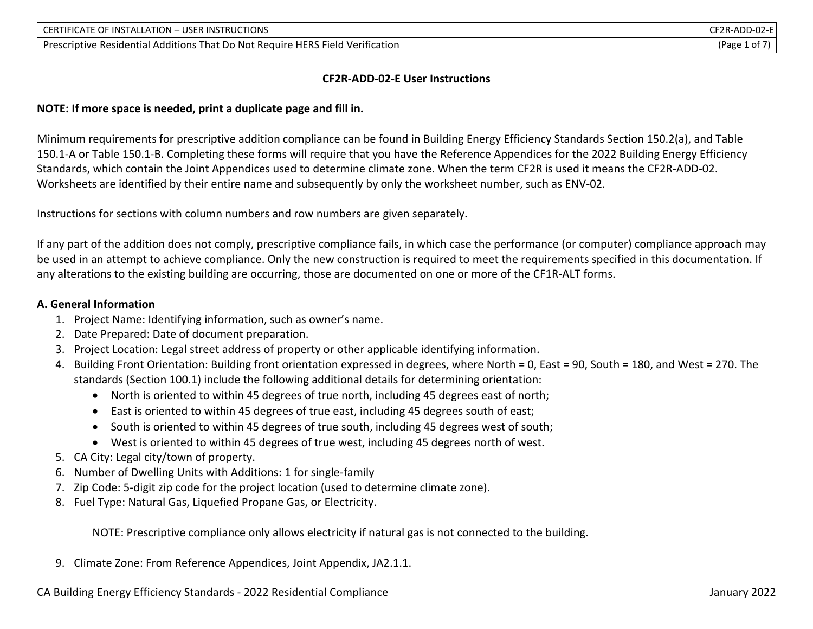#### **CF2R-ADD-02-E User Instructions**

#### **NOTE: If more space is needed, print a duplicate page and fill in.**

Minimum requirements for prescriptive addition compliance can be found in Building Energy Efficiency Standards Section 150.2(a), and Table 150.1-A or Table 150.1-B. Completing these forms will require that you have the Reference Appendices for the 2022 Building Energy Efficiency Standards, which contain the Joint Appendices used to determine climate zone. When the term CF2R is used it means the CF2R-ADD-02. Worksheets are identified by their entire name and subsequently by only the worksheet number, such as ENV-02.

Instructions for sections with column numbers and row numbers are given separately.

If any part of the addition does not comply, prescriptive compliance fails, in which case the performance (or computer) compliance approach may be used in an attempt to achieve compliance. Only the new construction is required to meet the requirements specified in this documentation. If any alterations to the existing building are occurring, those are documented on one or more of the CF1R-ALT forms.

#### **A. General Information**

- 1. Project Name: Identifying information, such as owner's name.
- 2. Date Prepared: Date of document preparation.
- 3. Project Location: Legal street address of property or other applicable identifying information.
- 4. Building Front Orientation: Building front orientation expressed in degrees, where North = 0, East = 90, South = 180, and West = 270. The standards (Section 100.1) include the following additional details for determining orientation:
	- North is oriented to within 45 degrees of true north, including 45 degrees east of north;
	- East is oriented to within 45 degrees of true east, including 45 degrees south of east;
	- South is oriented to within 45 degrees of true south, including 45 degrees west of south;
	- West is oriented to within 45 degrees of true west, including 45 degrees north of west.
- 5. CA City: Legal city/town of property.
- 6. Number of Dwelling Units with Additions: 1 for single-family
- 7. Zip Code: 5-digit zip code for the project location (used to determine climate zone).
- 8. Fuel Type: Natural Gas, Liquefied Propane Gas, or Electricity.

NOTE: Prescriptive compliance only allows electricity if natural gas is not connected to the building.

9. Climate Zone: From Reference Appendices, Joint Appendix, JA2.1.1.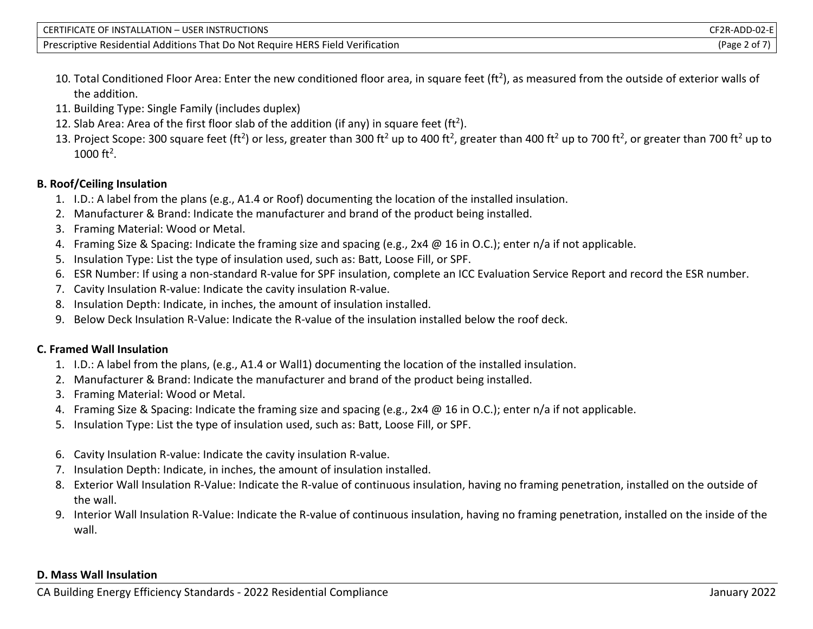| CERTIFICATE OF INSTALLATION - USER INSTRUCTIONS                                | CF2R-ADD-02-El |
|--------------------------------------------------------------------------------|----------------|
| Prescriptive Residential Additions That Do Not Require HERS Field Verification | (Page 2 of 7   |

- 10. Total Conditioned Floor Area: Enter the new conditioned floor area, in square feet (ft<sup>2</sup>), as measured from the outside of exterior walls of the addition.
- 11. Building Type: Single Family (includes duplex)
- 12. Slab Area: Area of the first floor slab of the addition (if any) in square feet (ft<sup>2</sup>).
- 13. Project Scope: 300 square feet (ft<sup>2</sup>) or less, greater than 300 ft<sup>2</sup> up to 400 ft<sup>2</sup>, greater than 400 ft<sup>2</sup> up to 700 ft<sup>2</sup>, or greater than 700 ft<sup>2</sup> up to 1000 ft<sup>2</sup>.

## **B. Roof/Ceiling Insulation**

- 1. I.D.: A label from the plans (e.g., A1.4 or Roof) documenting the location of the installed insulation.
- 2. Manufacturer & Brand: Indicate the manufacturer and brand of the product being installed.
- 3. Framing Material: Wood or Metal.
- 4. Framing Size & Spacing: Indicate the framing size and spacing (e.g., 2x4 @ 16 in O.C.); enter n/a if not applicable.
- 5. Insulation Type: List the type of insulation used, such as: Batt, Loose Fill, or SPF.
- 6. ESR Number: If using a non-standard R-value for SPF insulation, complete an ICC Evaluation Service Report and record the ESR number.
- 7. Cavity Insulation R-value: Indicate the cavity insulation R-value.
- 8. Insulation Depth: Indicate, in inches, the amount of insulation installed.
- 9. Below Deck Insulation R-Value: Indicate the R-value of the insulation installed below the roof deck.

## **C. Framed Wall Insulation**

- 1. I.D.: A label from the plans, (e.g., A1.4 or Wall1) documenting the location of the installed insulation.
- 2. Manufacturer & Brand: Indicate the manufacturer and brand of the product being installed.
- 3. Framing Material: Wood or Metal.
- 4. Framing Size & Spacing: Indicate the framing size and spacing (e.g., 2x4 @ 16 in O.C.); enter n/a if not applicable.
- 5. Insulation Type: List the type of insulation used, such as: Batt, Loose Fill, or SPF.
- 6. Cavity Insulation R-value: Indicate the cavity insulation R-value.
- 7. Insulation Depth: Indicate, in inches, the amount of insulation installed.
- 8. Exterior Wall Insulation R-Value: Indicate the R-value of continuous insulation, having no framing penetration, installed on the outside of the wall.
- 9. Interior Wall Insulation R-Value: Indicate the R-value of continuous insulation, having no framing penetration, installed on the inside of the wall.

#### **D. Mass Wall Insulation**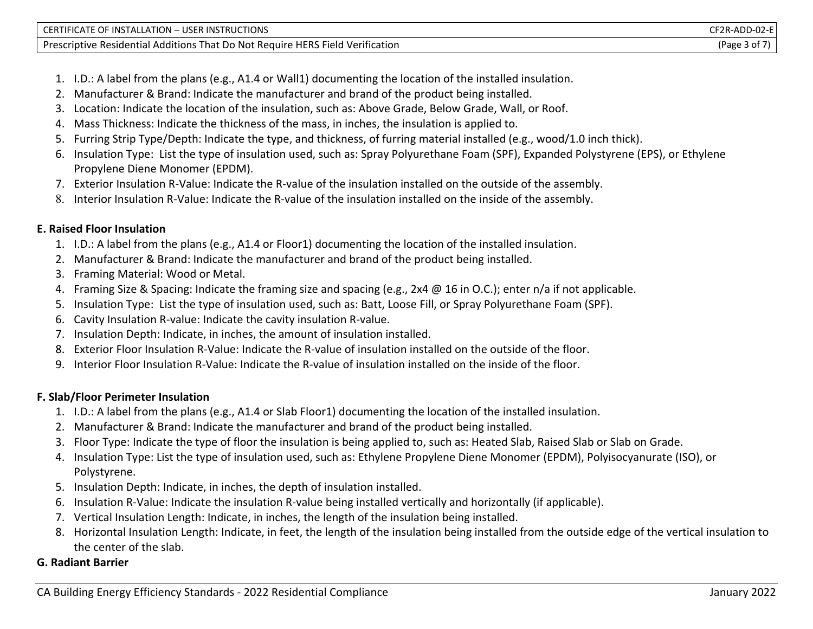| CERTIFICATE OF INSTALLATION - USER INSTRUCTIONS                                          | CF2R-ADD-02-E |
|------------------------------------------------------------------------------------------|---------------|
| That Do Not Require HERS Field Verification<br><b>Prescriptive Residential Additions</b> | 'Page         |

- 1. I.D.: A label from the plans (e.g., A1.4 or Wall1) documenting the location of the installed insulation.
- 2. Manufacturer & Brand: Indicate the manufacturer and brand of the product being installed.
- 3. Location: Indicate the location of the insulation, such as: Above Grade, Below Grade, Wall, or Roof.
- 4. Mass Thickness: Indicate the thickness of the mass, in inches, the insulation is applied to.
- 5. Furring Strip Type/Depth: Indicate the type, and thickness, of furring material installed (e.g., wood/1.0 inch thick).
- 6. Insulation Type: List the type of insulation used, such as: Spray Polyurethane Foam (SPF), Expanded Polystyrene (EPS), or Ethylene Propylene Diene Monomer (EPDM).
- 7. Exterior Insulation R-Value: Indicate the R-value of the insulation installed on the outside of the assembly.
- 8. Interior Insulation R-Value: Indicate the R-value of the insulation installed on the inside of the assembly.

### **E. Raised Floor Insulation**

- 1. I.D.: A label from the plans (e.g., A1.4 or Floor1) documenting the location of the installed insulation.
- 2. Manufacturer & Brand: Indicate the manufacturer and brand of the product being installed.
- 3. Framing Material: Wood or Metal.
- 4. Framing Size & Spacing: Indicate the framing size and spacing (e.g., 2x4 @ 16 in O.C.); enter n/a if not applicable.
- 5. Insulation Type: List the type of insulation used, such as: Batt, Loose Fill, or Spray Polyurethane Foam (SPF).
- 6. Cavity Insulation R-value: Indicate the cavity insulation R-value.
- 7. Insulation Depth: Indicate, in inches, the amount of insulation installed.
- 8. Exterior Floor Insulation R-Value: Indicate the R-value of insulation installed on the outside of the floor.
- 9. Interior Floor Insulation R-Value: Indicate the R-value of insulation installed on the inside of the floor.

## **F. Slab/Floor Perimeter Insulation**

- 1. I.D.: A label from the plans (e.g., A1.4 or Slab Floor1) documenting the location of the installed insulation.
- 2. Manufacturer & Brand: Indicate the manufacturer and brand of the product being installed.
- 3. Floor Type: Indicate the type of floor the insulation is being applied to, such as: Heated Slab, Raised Slab or Slab on Grade.
- 4. Insulation Type: List the type of insulation used, such as: Ethylene Propylene Diene Monomer (EPDM), Polyisocyanurate (ISO), or Polystyrene.
- 5. Insulation Depth: Indicate, in inches, the depth of insulation installed.
- 6. Insulation R-Value: Indicate the insulation R-value being installed vertically and horizontally (if applicable).
- 7. Vertical Insulation Length: Indicate, in inches, the length of the insulation being installed.
- 8. Horizontal Insulation Length: Indicate, in feet, the length of the insulation being installed from the outside edge of the vertical insulation to the center of the slab.

## **G. Radiant Barrier**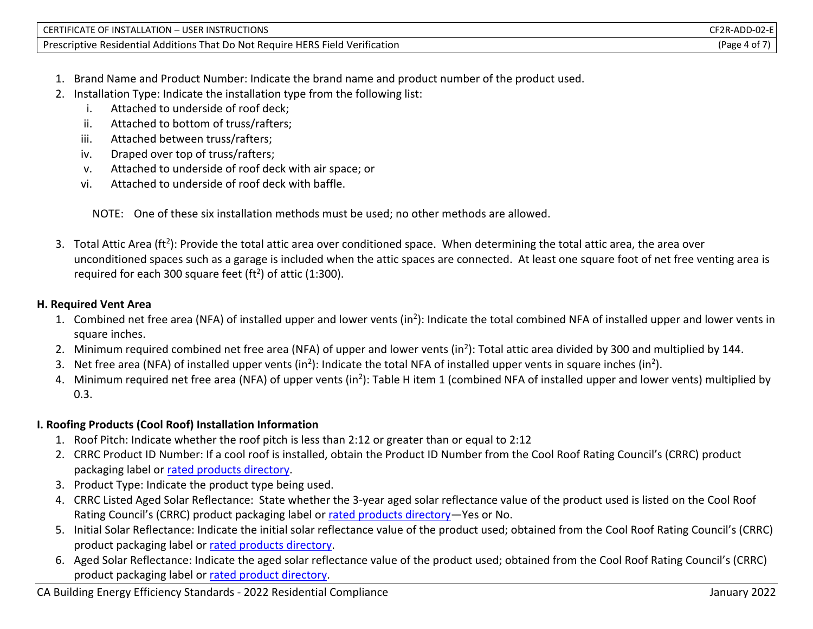| <b>CTIONS</b><br>' ATION<br>USER INS <sup>-</sup><br>TRUC.<br>TEIC.<br>TΔI<br>∠ו∩ו                                                          | '`ا ∆ـ⊿.<br>-JZ-F |
|---------------------------------------------------------------------------------------------------------------------------------------------|-------------------|
| .<br>. e HERS F'<br><b>Droccrin</b><br>Residentia.<br>∈Do Not⊺<br>Verification<br>hat<br>: Reauire<br>. Additions<br>Field<br>rive<br>TIDT. | 'Page<br>ີ        |

- 1. Brand Name and Product Number: Indicate the brand name and product number of the product used.
- 2. Installation Type: Indicate the installation type from the following list:
	- i. Attached to underside of roof deck;
	- ii. Attached to bottom of truss/rafters;
	- iii. Attached between truss/rafters;
	- iv. Draped over top of truss/rafters;
	- v. Attached to underside of roof deck with air space; or
	- vi. Attached to underside of roof deck with baffle.

NOTE: One of these six installation methods must be used; no other methods are allowed.

3. Total Attic Area (ft<sup>2</sup>): Provide the total attic area over conditioned space. When determining the total attic area, the area over unconditioned spaces such as a garage is included when the attic spaces are connected. At least one square foot of net free venting area is required for each 300 square feet (ft<sup>2</sup>) of attic (1:300).

# **H. Required Vent Area**

- 1. Combined net free area (NFA) of installed upper and lower vents (in<sup>2</sup>): Indicate the total combined NFA of installed upper and lower vents in square inches.
- 2. Minimum required combined net free area (NFA) of upper and lower vents (in<sup>2</sup>): Total attic area divided by 300 and multiplied by 144.
- 3. Net free area (NFA) of installed upper vents (in<sup>2</sup>): Indicate the total NFA of installed upper vents in square inches (in<sup>2</sup>).
- 4. Minimum required net free area (NFA) of upper vents (in<sup>2</sup>): Table H item 1 (combined NFA of installed upper and lower vents) multiplied by 0.3.

# **I. Roofing Products (Cool Roof) Installation Information**

- 1. Roof Pitch: Indicate whether the roof pitch is less than 2:12 or greater than or equal to 2:12
- 2. CRRC Product ID Number: If a cool roof is installed, obtain the Product ID Number from the Cool Roof Rating Council's (CRRC) product packaging label or [rated products directory.](https://search.nfrc.org/search/Searchdefault.aspx)
- 3. Product Type: Indicate the product type being used.
- 4. CRRC Listed Aged Solar Reflectance: State whether the 3-year aged solar reflectance value of the product used is listed on the Cool Roof Rating Council's (CRRC) product packaging label or [rated products directory](https://search.nfrc.org/search/Searchdefault.aspx)—Yes or No.
- 5. Initial Solar Reflectance: Indicate the initial solar reflectance value of the product used; obtained from the Cool Roof Rating Council's (CRRC) product packaging label or [rated products directory.](https://search.nfrc.org/search/Searchdefault.aspx)
- 6. Aged Solar Reflectance: Indicate the aged solar reflectance value of the product used; obtained from the Cool Roof Rating Council's (CRRC) product packaging label or [rated product directory.](https://search.nfrc.org/search/Searchdefault.aspx)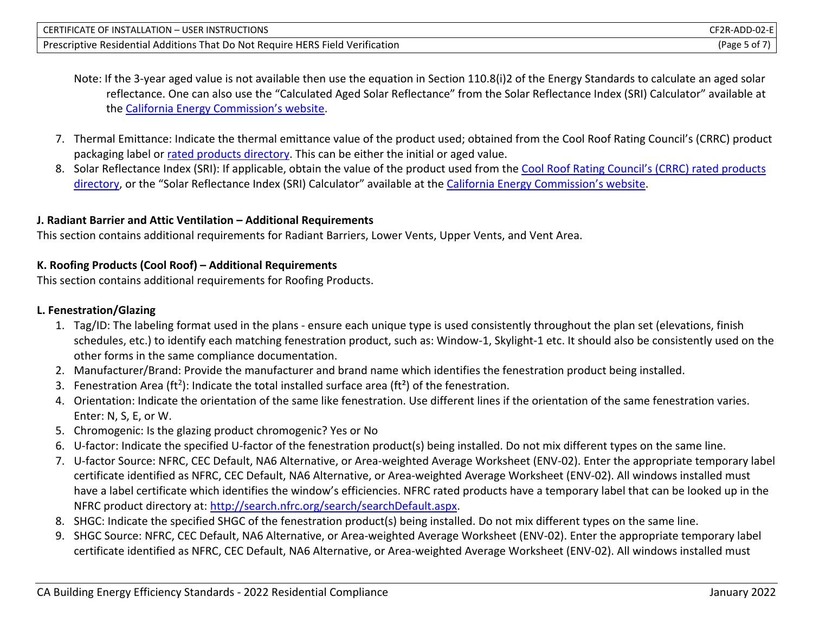| CERTIFICATE OF INSTALLATION - USER INSTRUCTIONS                                | CF2R-ADD-02-El |
|--------------------------------------------------------------------------------|----------------|
| Prescriptive Residential Additions That Do Not Require HERS Field Verification | (Page 5 of 7)  |

Note: If the 3-year aged value is not available then use the equation in Section 110.8(i)2 of the Energy Standards to calculate an aged solar reflectance. One can also use the "Calculated Aged Solar Reflectance" from the Solar Reflectance Index (SRI) Calculator" available at the [California Energy Commission's website](https://www.energy.ca.gov/rules-and-regulations/building-energy-efficiency).

- 7. Thermal Emittance: Indicate the thermal emittance value of the product used; obtained from the Cool Roof Rating Council's (CRRC) product packaging label or [rated products directory.](https://search.nfrc.org/search/Searchdefault.aspx) This can be either the initial or aged value.
- 8. Solar Reflectance Index (SRI): If applicable, obtain the value of the product used from the [Cool Roof Rating Council's \(](https://search.nfrc.org/search/Searchdefault.aspx)CRRC) rated products [directory](https://search.nfrc.org/search/Searchdefault.aspx), or the "Solar Reflectance Index (SRI) Calculator" available at the [California Energy Commission's website](https://www.energy.ca.gov/rules-and-regulations/building-energy-efficiency).

#### **J. Radiant Barrier and Attic Ventilation – Additional Requirements**

This section contains additional requirements for Radiant Barriers, Lower Vents, Upper Vents, and Vent Area.

#### **K. Roofing Products (Cool Roof) – Additional Requirements**

This section contains additional requirements for Roofing Products.

## **L. Fenestration/Glazing**

- 1. Tag/ID: The labeling format used in the plans ensure each unique type is used consistently throughout the plan set (elevations, finish schedules, etc.) to identify each matching fenestration product, such as: Window-1, Skylight-1 etc. It should also be consistently used on the other forms in the same compliance documentation.
- 2. Manufacturer/Brand: Provide the manufacturer and brand name which identifies the fenestration product being installed.
- 3. Fenestration Area (ft<sup>2</sup>): Indicate the total installed surface area (ft<sup>2</sup>) of the fenestration.
- 4. Orientation: Indicate the orientation of the same like fenestration. Use different lines if the orientation of the same fenestration varies. Enter: N, S, E, or W.
- 5. Chromogenic: Is the glazing product chromogenic? Yes or No
- 6. U-factor: Indicate the specified U-factor of the fenestration product(s) being installed. Do not mix different types on the same line.
- 7. U-factor Source: NFRC, CEC Default, NA6 Alternative, or Area-weighted Average Worksheet (ENV-02). Enter the appropriate temporary label certificate identified as NFRC, CEC Default, NA6 Alternative, or Area-weighted Average Worksheet (ENV-02). All windows installed must have a label certificate which identifies the window's efficiencies. NFRC rated products have a temporary label that can be looked up in the NFRC product directory at: [http://search.nfrc.org/search/searchDefault.aspx.](http://search.nfrc.org/search/searchDefault.aspx)
- 8. SHGC: Indicate the specified SHGC of the fenestration product(s) being installed. Do not mix different types on the same line.
- 9. SHGC Source: NFRC, CEC Default, NA6 Alternative, or Area-weighted Average Worksheet (ENV-02). Enter the appropriate temporary label certificate identified as NFRC, CEC Default, NA6 Alternative, or Area-weighted Average Worksheet (ENV-02). All windows installed must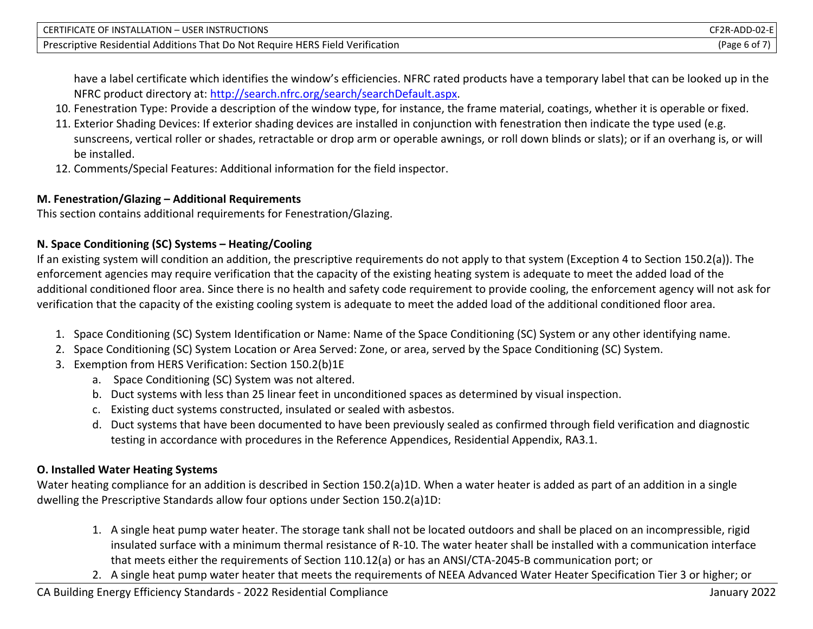| CERTIFICATE OF INSTALLATION - USER INSTRUCTIONS                                | CF2R-ADD-02-E |
|--------------------------------------------------------------------------------|---------------|
| Prescriptive Residential Additions That Do Not Require HERS Field Verification | (Page 6 of    |

have a label certificate which identifies the window's efficiencies. NFRC rated products have a temporary label that can be looked up in the NFRC product directory at: [http://search.nfrc.org/search/searchDefault.aspx.](http://search.nfrc.org/search/searchDefault.aspx)

- 10. Fenestration Type: Provide a description of the window type, for instance, the frame material, coatings, whether it is operable or fixed.
- 11. Exterior Shading Devices: If exterior shading devices are installed in conjunction with fenestration then indicate the type used (e.g. sunscreens, vertical roller or shades, retractable or drop arm or operable awnings, or roll down blinds or slats); or if an overhang is, or will be installed.
- 12. Comments/Special Features: Additional information for the field inspector.

#### **M. Fenestration/Glazing – Additional Requirements**

This section contains additional requirements for Fenestration/Glazing.

### **N. Space Conditioning (SC) Systems – Heating/Cooling**

If an existing system will condition an addition, the prescriptive requirements do not apply to that system (Exception 4 to Section 150.2(a)). The enforcement agencies may require verification that the capacity of the existing heating system is adequate to meet the added load of the additional conditioned floor area. Since there is no health and safety code requirement to provide cooling, the enforcement agency will not ask for verification that the capacity of the existing cooling system is adequate to meet the added load of the additional conditioned floor area.

- 1. Space Conditioning (SC) System Identification or Name: Name of the Space Conditioning (SC) System or any other identifying name.
- 2. Space Conditioning (SC) System Location or Area Served: Zone, or area, served by the Space Conditioning (SC) System.
- 3. Exemption from HERS Verification: Section 150.2(b)1E
	- a. Space Conditioning (SC) System was not altered.
	- b. Duct systems with less than 25 linear feet in unconditioned spaces as determined by visual inspection.
	- c. Existing duct systems constructed, insulated or sealed with asbestos.
	- d. Duct systems that have been documented to have been previously sealed as confirmed through field verification and diagnostic testing in accordance with procedures in the Reference Appendices, Residential Appendix, RA3.1.

## **O. Installed Water Heating Systems**

Water heating compliance for an addition is described in Section 150.2(a)1D. When a water heater is added as part of an addition in a single dwelling the Prescriptive Standards allow four options under Section 150.2(a)1D:

- 1. A single heat pump water heater. The storage tank shall not be located outdoors and shall be placed on an incompressible, rigid insulated surface with a minimum thermal resistance of R-10. The water heater shall be installed with a communication interface that meets either the requirements of Section 110.12(a) or has an ANSI/CTA-2045-B communication port; or
- 2. A single heat pump water heater that meets the requirements of NEEA Advanced Water Heater Specification Tier 3 or higher; or